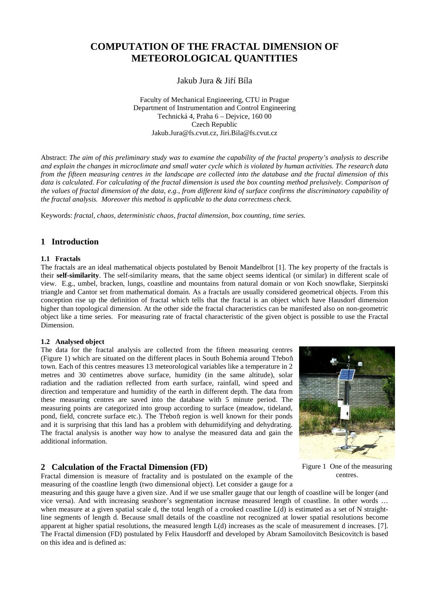# **COMPUTATION OF THE FRACTAL DIMENSION OF METEOROLOGICAL QUANTITIES**

Jakub Jura & Ji<sup>ř</sup> í Bíla

Faculty of Mechanical Engineering, CTU in Prague Department of Instrumentation and Control Engineering Technická 4, Praha 6 – Dejvice, 160 00 Czech Republic Jakub.Jura@fs.cvut.cz, Jiri.Bila@fs.cvut.cz

Abstract: *The aim of this preliminary study was to examine the capability of the fractal property's analysis to describe and explain the changes in microclimate and small water cycle which is violated by human activities. The research data from the fifteen measuring centres in the landscape are collected into the database and the fractal dimension of this*  data is calculated. For calculating of the fractal dimension is used the box counting method prelusively. Comparison of *the values of fractal dimension of the data, e.g., from different kind of surface confirms the discriminatory capability of the fractal analysis. Moreover this method is applicable to the data correctness check.* 

Keywords: *fractal, chaos, deterministic chaos, fractal dimension, box counting, time series.*

# **1 Introduction**

### **1.1 Fractals**

The fractals are an ideal mathematical objects postulated by Benoit Mandelbrot [1]. The key property of the fractals is their **self-similarity**. The self-similarity means, that the same object seems identical (or similar) in different scale of view. E.g., umbel, bracken, lungs, coastline and mountains from natural domain or von Koch snowflake, Sierpinski triangle and Cantor set from mathematical domain. As a fractals are usually considered geometrical objects. From this conception rise up the definition of fractal which tells that the fractal is an object which have Hausdorf dimension higher than topological dimension. At the other side the fractal characteristics can be manifested also on non-geometric object like a time series. For measuring rate of fractal characteristic of the given object is possible to use the Fractal Dimension.

#### **1.2 Analysed object**

The data for the fractal analysis are collected from the fifteen measuring centres (Figure 1) which are situated on the different places in South Bohemia around Třebo<sup>ň</sup> town. Each of this centres measures 13 meteorological variables like a temperature in 2 metres and 30 centimetres above surface, humidity (in the same altitude), solar radiation and the radiation reflected from earth surface, rainfall, wind speed and direction and temperature and humidity of the earth in different depth. The data from these measuring centres are saved into the database with 5 minute period. The measuring points are categorized into group according to surface (meadow, tideland, pond, field, concrete surface etc.). The Třeboň region is well known for their ponds and it is surprising that this land has a problem with dehumidifying and dehydrating. The fractal analysis is another way how to analyse the measured data and gain the additional information.



### **2 Calculation of the Fractal Dimension (FD)**

Figure 1 One of the measuring centres.

Fractal dimension is measure of fractality and is postulated on the example of the measuring of the coastline length (two dimensional object). Let consider a gauge for a

measuring and this gauge have a given size. And if we use smaller gauge that our length of coastline will be longer (and vice versa). And with increasing seashore's segmentation increase measured length of coastline. In other words … when measure at a given spatial scale d, the total length of a crooked coastline L(d) is estimated as a set of N straightline segments of length d. Because small details of the coastline not recognized at lower spatial resolutions become apparent at higher spatial resolutions, the measured length L(d) increases as the scale of measurement d increases. [7]. The Fractal dimension (FD) postulated by Felix Hausdorff and developed by Abram Samoilovitch Besicovitch is based on this idea and is defined as: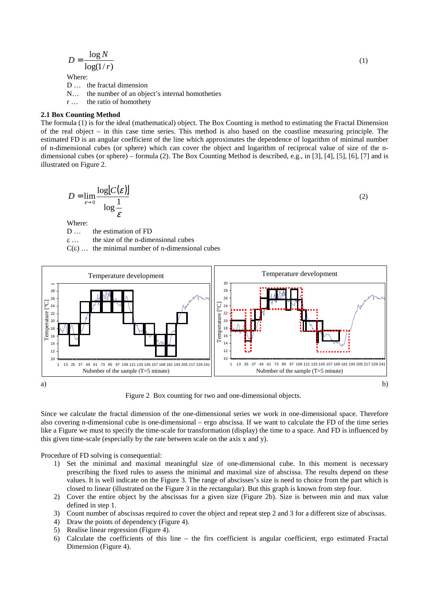$$
D = \frac{\log N}{\log(1/r)}\tag{1}
$$

Where:

D ... the fractal dimension

- N… the number of an object's internal homotheties
- r … the ratio of homothety

### **2.1 Box Counting Method**

The formula (1) is for the ideal (mathematical) object. The Box Counting is method to estimating the Fractal Dimension of the real object – in this case time series. This method is also based on the coastline measuring principle. The estimated FD is an angular coefficient of the line which approximates the dependence of logarithm of minimal number of n-dimensional cubes (or sphere) which can cover the object and logarithm of reciprocal value of size of the ndimensional cubes (or sphere) – formula (2). The Box Counting Method is described, e.g., in [3], [4], [5], [6], [7] and is illustrated on Figure 2.

$$
D = \lim_{\varepsilon \to 0} \frac{\log[C(\varepsilon)]}{\log \frac{1}{\varepsilon}} \tag{2}
$$

Where:

D … the estimation of FD

<sup>ε</sup> the size of the n-dimensional cubes

 $C(\varepsilon)$  ... the minimal number of n-dimensional cubes



Figure 2 Box counting for two and one-dimensional objects.

Since we calculate the fractal dimension of the one-dimensional series we work in one-dimensional space. Therefore also covering n-dimensional cube is one-dimensional – ergo abscissa. If we want to calculate the FD of the time series like a Figure we must to specify the time-scale for transformation (display) the time to a space. And FD is influenced by this given time-scale (especially by the rate between scale on the axis x and y).

Procedure of FD solving is consequential:

- 1) Set the minimal and maximal meaningful size of one-dimensional cube. In this moment is necessary prescribing the fixed rules to assess the minimal and maximal size of abscissa. The results depend on these values. It is well indicate on the Figure 3. The range of abscisses's size is need to choice from the part which is closed to linear (illustrated on the Figure 3 in the rectangular). But this graph is known from step four.
- 2) Cover the entire object by the abscissas for a given size (Figure 2b). Size is between min and max value defined in step 1.
- 3) Count number of abscissas required to cover the object and repeat step 2 and 3 for a different size of abscissas.
- 4) Draw the points of dependency (Figure 4).
- 5) Realise linear regression (Figure 4).
- 6) Calculate the coefficients of this line the firs coefficient is angular coefficient, ergo estimated Fractal Dimension (Figure 4).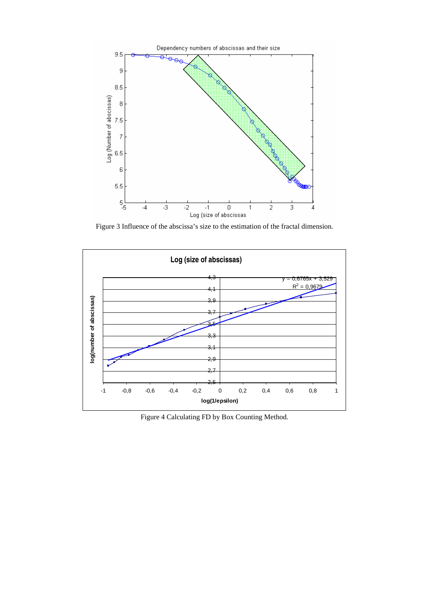

Figure 3 Influence of the abscissa's size to the estimation of the fractal dimension.



Figure 4 Calculating FD by Box Counting Method.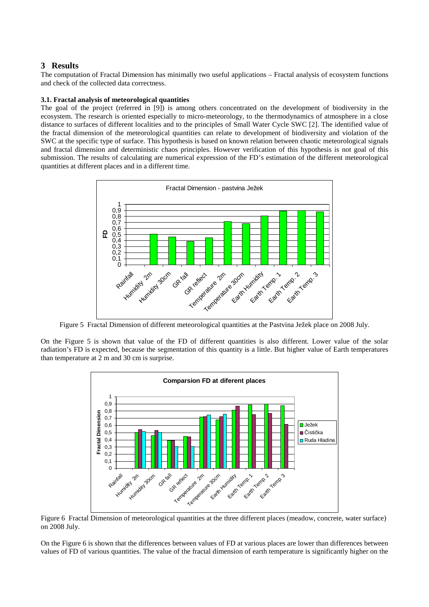# **3 Results**

The computation of Fractal Dimension has minimally two useful applications – Fractal analysis of ecosystem functions and check of the collected data correctness.

### **3.1. Fractal analysis of meteorological quantities**

The goal of the project (referred in [9]) is among others concentrated on the development of biodiversity in the ecosystem. The research is oriented especially to micro-meteorology, to the thermodynamics of atmosphere in a close distance to surfaces of different localities and to the principles of Small Water Cycle SWC [2]. The identified value of the fractal dimension of the meteorological quantities can relate to development of biodiversity and violation of the SWC at the specific type of surface. This hypothesis is based on known relation between chaotic meteorological signals and fractal dimension and deterministic chaos principles. However verification of this hypothesis is not goal of this submission. The results of calculating are numerical expression of the FD's estimation of the different meteorological quantities at different places and in a different time.



Figure 5 Fractal Dimension of different meteorological quantities at the Pastvina Ježek place on 2008 July.

On the Figure 5 is shown that value of the FD of different quantities is also different. Lower value of the solar radiation's FD is expected, because the segmentation of this quantity is a little. But higher value of Earth temperatures than temperature at 2 m and 30 cm is surprise.



Figure 6 Fractal Dimension of meteorological quantities at the three different places (meadow, concrete, water surface) on 2008 July.

On the Figure 6 is shown that the differences between values of FD at various places are lower than differences between values of FD of various quantities. The value of the fractal dimension of earth temperature is significantly higher on the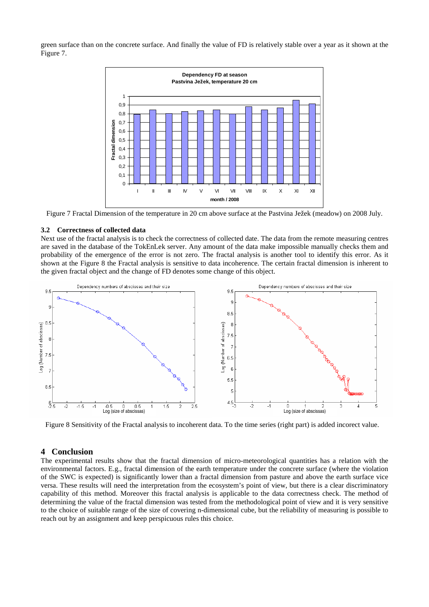green surface than on the concrete surface. And finally the value of FD is relatively stable over a year as it shown at the Figure 7.



Figure 7 Fractal Dimension of the temperature in 20 cm above surface at the Pastvina Ježek (meadow) on 2008 July.

#### **3.2 Correctness of collected data**

Next use of the fractal analysis is to check the correctness of collected date. The data from the remote measuring centres are saved in the database of the TokEnLek server. Any amount of the data make impossible manually checks them and probability of the emergence of the error is not zero. The fractal analysis is another tool to identify this error. As it shown at the Figure 8 the Fractal analysis is sensitive to data incoherence. The certain fractal dimension is inherent to the given fractal object and the change of FD denotes some change of this object.



Figure 8 Sensitivity of the Fractal analysis to incoherent data. To the time series (right part) is added incorect value.

### **4 Conclusion**

The experimental results show that the fractal dimension of micro-meteorological quantities has a relation with the environmental factors. E.g., fractal dimension of the earth temperature under the concrete surface (where the violation of the SWC is expected) is significantly lower than a fractal dimension from pasture and above the earth surface vice versa. These results will need the interpretation from the ecosystem's point of view, but there is a clear discriminatory capability of this method. Moreover this fractal analysis is applicable to the data correctness check. The method of determining the value of the fractal dimension was tested from the methodological point of view and it is very sensitive to the choice of suitable range of the size of covering n-dimensional cube, but the reliability of measuring is possible to reach out by an assignment and keep perspicuous rules this choice.